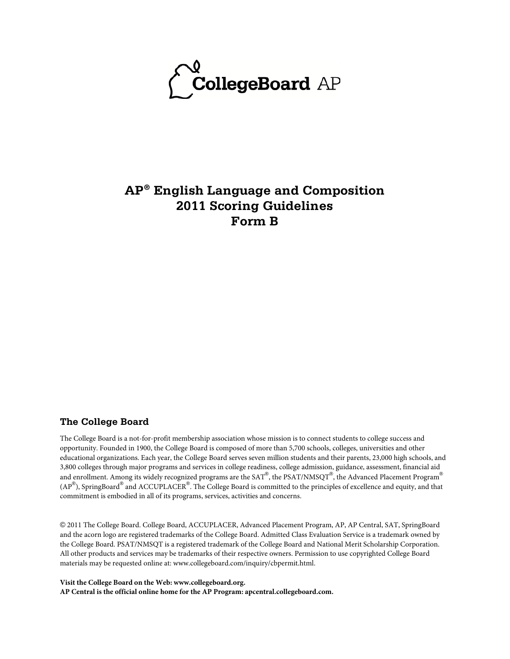

# **AP® English Language and Composition 2011 Scoring Guidelines Form B**

#### **The College Board**

The College Board is a not-for-profit membership association whose mission is to connect students to college success and opportunity. Founded in 1900, the College Board is composed of more than 5,700 schools, colleges, universities and other educational organizations. Each year, the College Board serves seven million students and their parents, 23,000 high schools, and 3,800 colleges through major programs and services in college readiness, college admission, guidance, assessment, financial aid and enrollment. Among its widely recognized programs are the SAT®, the PSAT/NMSQT®, the Advanced Placement Program® (AP $^{\circledR}$ ), SpringBoard $^{\circledR}$  and ACCUPLACER $^{\circledR}$ . The College Board is committed to the principles of excellence and equity, and that commitment is embodied in all of its programs, services, activities and concerns.

© 2011 The College Board. College Board, ACCUPLACER, Advanced Placement Program, AP, AP Central, SAT, SpringBoard and the acorn logo are registered trademarks of the College Board. Admitted Class Evaluation Service is a trademark owned by the College Board. PSAT/NMSQT is a registered trademark of the College Board and National Merit Scholarship Corporation. All other products and services may be trademarks of their respective owners. Permission to use copyrighted College Board materials may be requested online at: www.collegeboard.com/inquiry/cbpermit.html.

**Visit the College Board on the Web: www.collegeboard.org. AP Central is the official online home for the AP Program: apcentral.collegeboard.com.**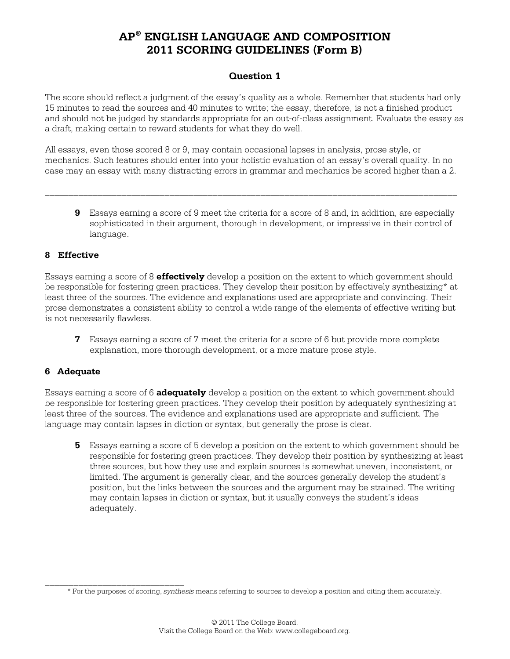## **Question 1**

The score should reflect a judgment of the essay's quality as a whole. Remember that students had only 15 minutes to read the sources and 40 minutes to write; the essay, therefore, is not a finished product and should not be judged by standards appropriate for an out-of-class assignment. Evaluate the essay as a draft, making certain to reward students for what they do well.

All essays, even those scored 8 or 9, may contain occasional lapses in analysis, prose style, or mechanics. Such features should enter into your holistic evaluation of an essay's overall quality. In no case may an essay with many distracting errors in grammar and mechanics be scored higher than a 2.

\_\_\_\_\_\_\_\_\_\_\_\_\_\_\_\_\_\_\_\_\_\_\_\_\_\_\_\_\_\_\_\_\_\_\_\_\_\_\_\_\_\_\_\_\_\_\_\_\_\_\_\_\_\_\_\_\_\_\_\_\_\_\_\_\_\_\_\_\_\_\_\_\_\_\_\_\_\_\_\_\_\_\_\_\_\_

**9** Essays earning a score of 9 meet the criteria for a score of 8 and, in addition, are especially sophisticated in their argument, thorough in development, or impressive in their control of language.

### **8 Effective**

Essays earning a score of 8 **effectively** develop a position on the extent to which government should be responsible for fostering green practices. They develop their position by effectively synthesizing\* at least three of the sources. The evidence and explanations used are appropriate and convincing. Their prose demonstrates a consistent ability to control a wide range of the elements of effective writing but is not necessarily flawless.

**7** Essays earning a score of 7 meet the criteria for a score of 6 but provide more complete explanation, more thorough development, or a more mature prose style.

#### **6 Adequate**

Essays earning a score of 6 **adequately** develop a position on the extent to which government should be responsible for fostering green practices. They develop their position by adequately synthesizing at least three of the sources. The evidence and explanations used are appropriate and sufficient. The language may contain lapses in diction or syntax, but generally the prose is clear.

**5** Essays earning a score of 5 develop a position on the extent to which government should be responsible for fostering green practices. They develop their position by synthesizing at least three sources, but how they use and explain sources is somewhat uneven, inconsistent, or limited. The argument is generally clear, and the sources generally develop the student's position, but the links between the sources and the argument may be strained. The writing may contain lapses in diction or syntax, but it usually conveys the student's ideas adequately.

\_\_\_\_\_\_\_\_\_\_\_\_\_\_\_\_\_\_\_\_\_\_\_\_\_\_\_\_\_ \* For the purposes of scoring, *synthesis* means referring to sources to develop a position and citing them accurately.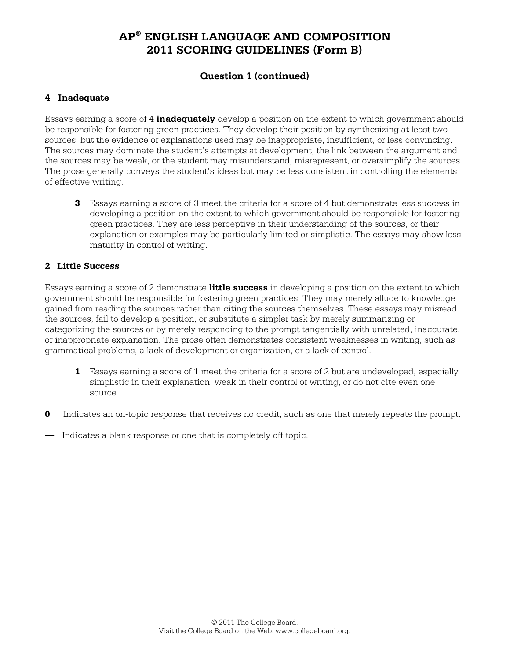## **Question 1 (continued)**

## **4 Inadequate**

Essays earning a score of 4 **inadequately** develop a position on the extent to which government should be responsible for fostering green practices. They develop their position by synthesizing at least two sources, but the evidence or explanations used may be inappropriate, insufficient, or less convincing. The sources may dominate the student's attempts at development, the link between the argument and the sources may be weak, or the student may misunderstand, misrepresent, or oversimplify the sources. The prose generally conveys the student's ideas but may be less consistent in controlling the elements of effective writing.

**3** Essays earning a score of 3 meet the criteria for a score of 4 but demonstrate less success in developing a position on the extent to which government should be responsible for fostering green practices. They are less perceptive in their understanding of the sources, or their explanation or examples may be particularly limited or simplistic. The essays may show less maturity in control of writing.

### **2 Little Success**

Essays earning a score of 2 demonstrate **little success** in developing a position on the extent to which government should be responsible for fostering green practices. They may merely allude to knowledge gained from reading the sources rather than citing the sources themselves. These essays may misread the sources, fail to develop a position, or substitute a simpler task by merely summarizing or categorizing the sources or by merely responding to the prompt tangentially with unrelated, inaccurate, or inappropriate explanation. The prose often demonstrates consistent weaknesses in writing, such as grammatical problems, a lack of development or organization, or a lack of control.

- **1** Essays earning a score of 1 meet the criteria for a score of 2 but are undeveloped, especially simplistic in their explanation, weak in their control of writing, or do not cite even one source.
- **0** Indicates an on-topic response that receives no credit, such as one that merely repeats the prompt.
- Indicates a blank response or one that is completely off topic.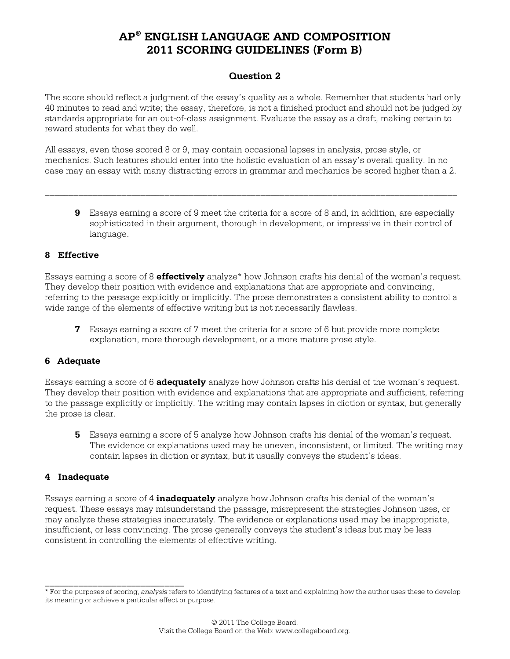## **Question 2**

The score should reflect a judgment of the essay's quality as a whole. Remember that students had only 40 minutes to read and write; the essay, therefore, is not a finished product and should not be judged by standards appropriate for an out-of-class assignment. Evaluate the essay as a draft, making certain to reward students for what they do well.

All essays, even those scored 8 or 9, may contain occasional lapses in analysis, prose style, or mechanics. Such features should enter into the holistic evaluation of an essay's overall quality. In no case may an essay with many distracting errors in grammar and mechanics be scored higher than a 2.

\_\_\_\_\_\_\_\_\_\_\_\_\_\_\_\_\_\_\_\_\_\_\_\_\_\_\_\_\_\_\_\_\_\_\_\_\_\_\_\_\_\_\_\_\_\_\_\_\_\_\_\_\_\_\_\_\_\_\_\_\_\_\_\_\_\_\_\_\_\_\_\_\_\_\_\_\_\_\_\_\_\_\_\_\_\_

**9** Essays earning a score of 9 meet the criteria for a score of 8 and, in addition, are especially sophisticated in their argument, thorough in development, or impressive in their control of language.

### **8 Effective**

Essays earning a score of 8 **effectively** analyze\* how Johnson crafts his denial of the woman's request. They develop their position with evidence and explanations that are appropriate and convincing, referring to the passage explicitly or implicitly. The prose demonstrates a consistent ability to control a wide range of the elements of effective writing but is not necessarily flawless.

**7** Essays earning a score of 7 meet the criteria for a score of 6 but provide more complete explanation, more thorough development, or a more mature prose style.

#### **6 Adequate**

Essays earning a score of 6 **adequately** analyze how Johnson crafts his denial of the woman's request. They develop their position with evidence and explanations that are appropriate and sufficient, referring to the passage explicitly or implicitly. The writing may contain lapses in diction or syntax, but generally the prose is clear.

**5** Essays earning a score of 5 analyze how Johnson crafts his denial of the woman's request. The evidence or explanations used may be uneven, inconsistent, or limited. The writing may contain lapses in diction or syntax, but it usually conveys the student's ideas.

#### **4 Inadequate**

\_\_\_\_\_\_\_\_\_\_\_\_\_\_\_\_\_\_\_\_\_\_\_\_\_\_\_\_\_

Essays earning a score of 4 **inadequately** analyze how Johnson crafts his denial of the woman's request. These essays may misunderstand the passage, misrepresent the strategies Johnson uses, or may analyze these strategies inaccurately. The evidence or explanations used may be inappropriate, insufficient, or less convincing. The prose generally conveys the student's ideas but may be less consistent in controlling the elements of effective writing.

<sup>\*</sup> For the purposes of scoring, *analysis* refers to identifying features of a text and explaining how the author uses these to develop its meaning or achieve a particular effect or purpose.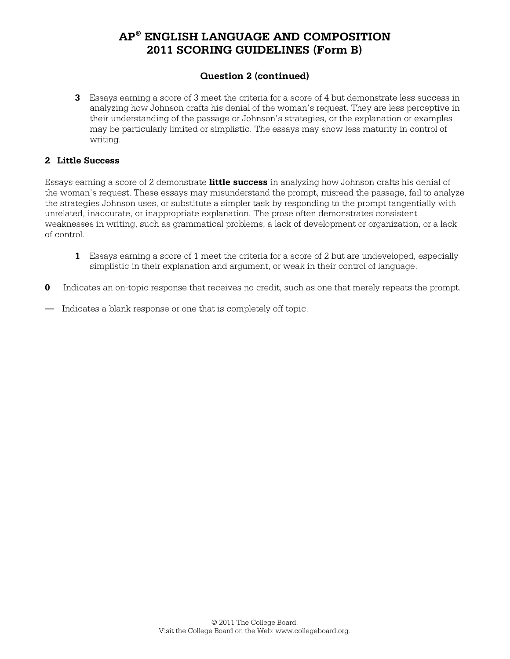## **Question 2 (continued)**

**3** Essays earning a score of 3 meet the criteria for a score of 4 but demonstrate less success in analyzing how Johnson crafts his denial of the woman's request. They are less perceptive in their understanding of the passage or Johnson's strategies, or the explanation or examples may be particularly limited or simplistic. The essays may show less maturity in control of writing.

#### **2 Little Success**

Essays earning a score of 2 demonstrate **little success** in analyzing how Johnson crafts his denial of the woman's request. These essays may misunderstand the prompt, misread the passage, fail to analyze the strategies Johnson uses, or substitute a simpler task by responding to the prompt tangentially with unrelated, inaccurate, or inappropriate explanation. The prose often demonstrates consistent weaknesses in writing, such as grammatical problems, a lack of development or organization, or a lack of control.

- **1** Essays earning a score of 1 meet the criteria for a score of 2 but are undeveloped, especially simplistic in their explanation and argument, or weak in their control of language.
- **0** Indicates an on-topic response that receives no credit, such as one that merely repeats the prompt.
- Indicates a blank response or one that is completely off topic.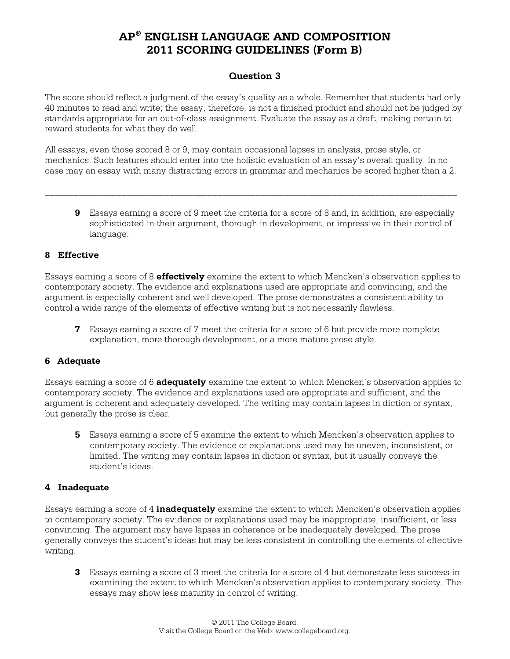## **Question 3**

The score should reflect a judgment of the essay's quality as a whole. Remember that students had only 40 minutes to read and write; the essay, therefore, is not a finished product and should not be judged by standards appropriate for an out-of-class assignment. Evaluate the essay as a draft, making certain to reward students for what they do well.

All essays, even those scored 8 or 9, may contain occasional lapses in analysis, prose style, or mechanics. Such features should enter into the holistic evaluation of an essay's overall quality. In no case may an essay with many distracting errors in grammar and mechanics be scored higher than a 2.

\_\_\_\_\_\_\_\_\_\_\_\_\_\_\_\_\_\_\_\_\_\_\_\_\_\_\_\_\_\_\_\_\_\_\_\_\_\_\_\_\_\_\_\_\_\_\_\_\_\_\_\_\_\_\_\_\_\_\_\_\_\_\_\_\_\_\_\_\_\_\_\_\_\_\_\_\_\_\_\_\_\_\_\_\_\_

**9** Essays earning a score of 9 meet the criteria for a score of 8 and, in addition, are especially sophisticated in their argument, thorough in development, or impressive in their control of language.

### **8 Effective**

Essays earning a score of 8 **effectively** examine the extent to which Mencken's observation applies to contemporary society. The evidence and explanations used are appropriate and convincing, and the argument is especially coherent and well developed. The prose demonstrates a consistent ability to control a wide range of the elements of effective writing but is not necessarily flawless.

**7** Essays earning a score of 7 meet the criteria for a score of 6 but provide more complete explanation, more thorough development, or a more mature prose style.

#### **6 Adequate**

Essays earning a score of 6 **adequately** examine the extent to which Mencken's observation applies to contemporary society. The evidence and explanations used are appropriate and sufficient, and the argument is coherent and adequately developed. The writing may contain lapses in diction or syntax, but generally the prose is clear.

**5** Essays earning a score of 5 examine the extent to which Mencken's observation applies to contemporary society. The evidence or explanations used may be uneven, inconsistent, or limited. The writing may contain lapses in diction or syntax, but it usually conveys the student's ideas.

### **4 Inadequate**

Essays earning a score of 4 **inadequately** examine the extent to which Mencken's observation applies to contemporary society. The evidence or explanations used may be inappropriate, insufficient, or less convincing. The argument may have lapses in coherence or be inadequately developed. The prose generally conveys the student's ideas but may be less consistent in controlling the elements of effective writing.

**3** Essays earning a score of 3 meet the criteria for a score of 4 but demonstrate less success in examining the extent to which Mencken's observation applies to contemporary society. The essays may show less maturity in control of writing.